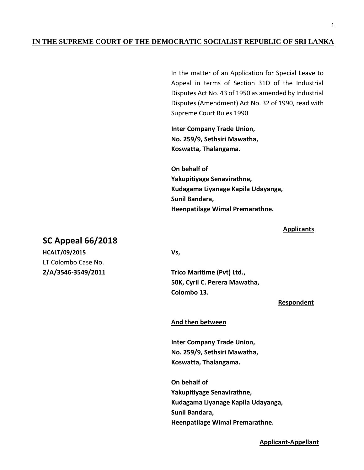# **IN THE SUPREME COURT OF THE DEMOCRATIC SOCIALIST REPUBLIC OF SRI LANKA**

In the matter of an Application for Special Leave to Appeal in terms of Section 31D of the Industrial Disputes Act No. 43 of 1950 as amended by Industrial Disputes (Amendment) Act No. 32 of 1990, read with Supreme Court Rules 1990

**Inter Company Trade Union, No. 259/9, Sethsiri Mawatha, Koswatta, Thalangama.**

**On behalf of Yakupitiyage Senavirathne, Kudagama Liyanage Kapila Udayanga, Sunil Bandara, Heenpatilage Wimal Premarathne.**

### **Applicants**

# **SC Appeal 66/2018**

**HCALT/09/2015 Vs,** LT Colombo Case No.

**2/A/3546-3549/2011 Trico Maritime (Pvt) Ltd., 50K, Cyril C. Perera Mawatha, Colombo 13.**

#### **Respondent**

#### **And then between**

**Inter Company Trade Union, No. 259/9, Sethsiri Mawatha, Koswatta, Thalangama.**

**On behalf of Yakupitiyage Senavirathne, Kudagama Liyanage Kapila Udayanga, Sunil Bandara, Heenpatilage Wimal Premarathne.**

### **Applicant-Appellant**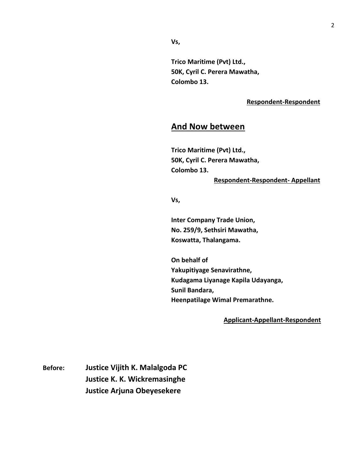**Vs,**

**Trico Maritime (Pvt) Ltd., 50K, Cyril C. Perera Mawatha, Colombo 13.**

### **Respondent-Respondent**

# **And Now between**

**Trico Maritime (Pvt) Ltd., 50K, Cyril C. Perera Mawatha, Colombo 13.**

## **Respondent-Respondent- Appellant**

**Vs,**

**Inter Company Trade Union, No. 259/9, Sethsiri Mawatha, Koswatta, Thalangama.**

**On behalf of Yakupitiyage Senavirathne, Kudagama Liyanage Kapila Udayanga, Sunil Bandara, Heenpatilage Wimal Premarathne.**

#### **Applicant-Appellant-Respondent**

**Before: Justice Vijith K. Malalgoda PC Justice K. K. Wickremasinghe Justice Arjuna Obeyesekere**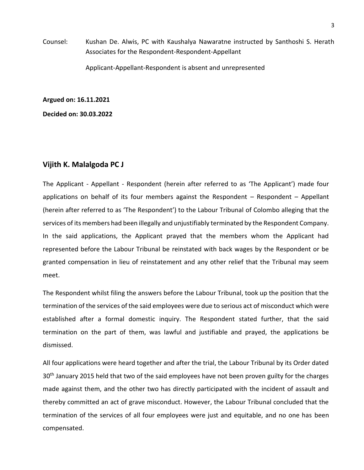Counsel: Kushan De. Alwis, PC with Kaushalya Nawaratne instructed by Santhoshi S. Herath Associates for the Respondent-Respondent-Appellant

Applicant-Appellant-Respondent is absent and unrepresented

**Argued on: 16.11.2021**

**Decided on: 30.03.2022**

## **Vijith K. Malalgoda PC J**

The Applicant - Appellant - Respondent (herein after referred to as 'The Applicant') made four applications on behalf of its four members against the Respondent – Respondent – Appellant (herein after referred to as 'The Respondent') to the Labour Tribunal of Colombo alleging that the services of its members had been illegally and unjustifiably terminated by the Respondent Company. In the said applications, the Applicant prayed that the members whom the Applicant had represented before the Labour Tribunal be reinstated with back wages by the Respondent or be granted compensation in lieu of reinstatement and any other relief that the Tribunal may seem meet.

The Respondent whilst filing the answers before the Labour Tribunal, took up the position that the termination of the services of the said employees were due to serious act of misconduct which were established after a formal domestic inquiry. The Respondent stated further, that the said termination on the part of them, was lawful and justifiable and prayed, the applications be dismissed.

All four applications were heard together and after the trial, the Labour Tribunal by its Order dated 30<sup>th</sup> January 2015 held that two of the said employees have not been proven guilty for the charges made against them, and the other two has directly participated with the incident of assault and thereby committed an act of grave misconduct. However, the Labour Tribunal concluded that the termination of the services of all four employees were just and equitable, and no one has been compensated.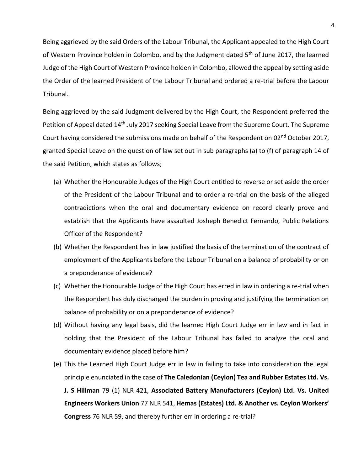Being aggrieved by the said Orders of the Labour Tribunal, the Applicant appealed to the High Court of Western Province holden in Colombo, and by the Judgment dated 5<sup>th</sup> of June 2017, the learned Judge of the High Court of Western Province holden in Colombo, allowed the appeal by setting aside the Order of the learned President of the Labour Tribunal and ordered a re-trial before the Labour Tribunal.

Being aggrieved by the said Judgment delivered by the High Court, the Respondent preferred the Petition of Appeal dated 14<sup>th</sup> July 2017 seeking Special Leave from the Supreme Court. The Supreme Court having considered the submissions made on behalf of the Respondent on 02<sup>nd</sup> October 2017, granted Special Leave on the question of law set out in sub paragraphs (a) to (f) of paragraph 14 of the said Petition, which states as follows;

- (a) Whether the Honourable Judges of the High Court entitled to reverse or set aside the order of the President of the Labour Tribunal and to order a re-trial on the basis of the alleged contradictions when the oral and documentary evidence on record clearly prove and establish that the Applicants have assaulted Josheph Benedict Fernando, Public Relations Officer of the Respondent?
- (b) Whether the Respondent has in law justified the basis of the termination of the contract of employment of the Applicants before the Labour Tribunal on a balance of probability or on a preponderance of evidence?
- (c) Whether the Honourable Judge of the High Court has erred in law in ordering a re-trial when the Respondent has duly discharged the burden in proving and justifying the termination on balance of probability or on a preponderance of evidence?
- (d) Without having any legal basis, did the learned High Court Judge err in law and in fact in holding that the President of the Labour Tribunal has failed to analyze the oral and documentary evidence placed before him?
- (e) This the Learned High Court Judge err in law in failing to take into consideration the legal principle enunciated in the case of **The Caledonian (Ceylon) Tea and Rubber Estates Ltd. Vs. J. S Hillman** 79 (1) NLR 421, **Associated Battery Manufacturers (Ceylon) Ltd. Vs. United Engineers Workers Union** 77 NLR 541, **Hemas (Estates) Ltd. & Another vs. Ceylon Workers' Congress** 76 NLR 59, and thereby further err in ordering a re-trial?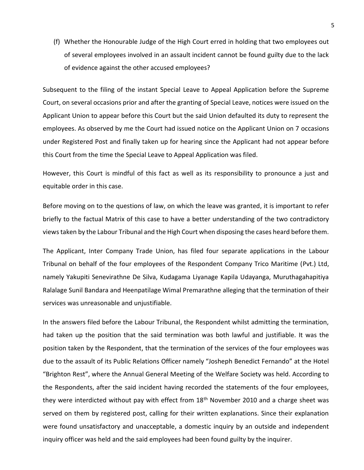(f) Whether the Honourable Judge of the High Court erred in holding that two employees out of several employees involved in an assault incident cannot be found guilty due to the lack of evidence against the other accused employees?

Subsequent to the filing of the instant Special Leave to Appeal Application before the Supreme Court, on several occasions prior and after the granting of Special Leave, notices were issued on the Applicant Union to appear before this Court but the said Union defaulted its duty to represent the employees. As observed by me the Court had issued notice on the Applicant Union on 7 occasions under Registered Post and finally taken up for hearing since the Applicant had not appear before this Court from the time the Special Leave to Appeal Application was filed.

However, this Court is mindful of this fact as well as its responsibility to pronounce a just and equitable order in this case.

Before moving on to the questions of law, on which the leave was granted, it is important to refer briefly to the factual Matrix of this case to have a better understanding of the two contradictory views taken by the Labour Tribunal and the High Court when disposing the cases heard before them.

The Applicant, Inter Company Trade Union, has filed four separate applications in the Labour Tribunal on behalf of the four employees of the Respondent Company Trico Maritime (Pvt.) Ltd, namely Yakupiti Senevirathne De Silva, Kudagama Liyanage Kapila Udayanga, Muruthagahapitiya Ralalage Sunil Bandara and Heenpatilage Wimal Premarathne alleging that the termination of their services was unreasonable and unjustifiable.

In the answers filed before the Labour Tribunal, the Respondent whilst admitting the termination, had taken up the position that the said termination was both lawful and justifiable. It was the position taken by the Respondent, that the termination of the services of the four employees was due to the assault of its Public Relations Officer namely "Josheph Benedict Fernando" at the Hotel "Brighton Rest", where the Annual General Meeting of the Welfare Society was held. According to the Respondents, after the said incident having recorded the statements of the four employees, they were interdicted without pay with effect from 18<sup>th</sup> November 2010 and a charge sheet was served on them by registered post, calling for their written explanations. Since their explanation were found unsatisfactory and unacceptable, a domestic inquiry by an outside and independent inquiry officer was held and the said employees had been found guilty by the inquirer.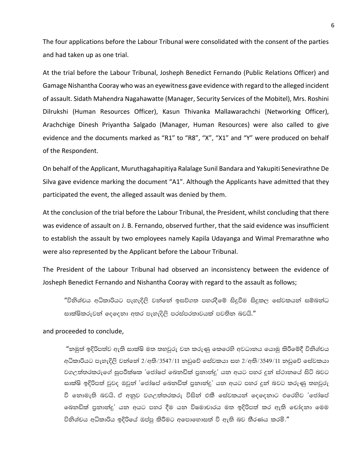The four applications before the Labour Tribunal were consolidated with the consent of the parties and had taken up as one trial.

At the trial before the Labour Tribunal, Josheph Benedict Fernando (Public Relations Officer) and Gamage Nishantha Cooray who was an eyewitness gave evidence with regard to the alleged incident of assault. Sidath Mahendra Nagahawatte (Manager, Security Services of the Mobitel), Mrs. Roshini Dilrukshi (Human Resources Officer), Kasun Thivanka Mallawarachchi (Networking Officer), Arachchige Dinesh Priyantha Salgado (Manager, Human Resources) were also called to give evidence and the documents marked as "R1" to "R8", "X", "X1" and "Y" were produced on behalf of the Respondent.

On behalf of the Applicant, Muruthagahapitiya Ralalage Sunil Bandara and Yakupiti Senevirathne De Silva gave evidence marking the document "A1". Although the Applicants have admitted that they participated the event, the alleged assault was denied by them.

At the conclusion of the trial before the Labour Tribunal, the President, whilst concluding that there was evidence of assault on J. B. Fernando, observed further, that the said evidence was insufficient to establish the assault by two employees namely Kapila Udayanga and Wimal Premarathne who were also represented by the Applicant before the Labour Tribunal.

The President of the Labour Tribunal had observed an inconsistency between the evidence of Josheph Benedict Fernando and Nishantha Cooray with regard to the assault as follows;

"විනිශ්චය අධිකාරියට පැහැදිලි වන්නේ ඉසව්ගත පහරදීමේ සිදුවීම සිදුකල සේවකයන් සම්බන්ධ සාක්ෂිකරුවන් දෙදෙනා අතර පැහැදිලි පරස්පරතාවයක් පවතින බවයි."

and proceeded to conclude,

"නමුත් ඉදිරිපත්ව ඇති සාක්ෂි මත තහවුරු වන කරුණු කෙරෙහි අවධානය යොමු කිරීමේදී විනිශ්චය අධිකාරියට පැහැදිලි වන්නේ 2/අති/3547/11 නඩුවේ සේවකයා සහ 2/අති/3549/11 නඩුවේ සේවකයා වගඋත්තරකරුගේ සුපරීක්ෂක 'ජෝෂප් බෙනඩික් පුනාන්දු' යන අයට පහර දුන් ස්ථානයේ සිටි බවට සාක්ෂි ඉදිරිපත් වුවද ඔවුන් 'ජෝෂප් බෙනඩික් පුනාන්දු' යන අයට පහර දුන් බවට කරුණු තහවුරු වී තොමැති බවයි. ඒ අනුව වගඋත්තරකරු විසින් එකී සේවකයන් දෙදෙනාට එරෙහිව 'ජෝෂප් බෙනඩික් පුනාන්දු' යන අයට පහර දීම යන විෂමාචාරය මත ඉදිරිපත් කර ඇති චෝදනා මෙම විනිශ්චය අධිකාරිය ඉදිරියේ ඔප්පු කිරීමට අපොහොසත් වී ඇති බව තීරණය කරමි."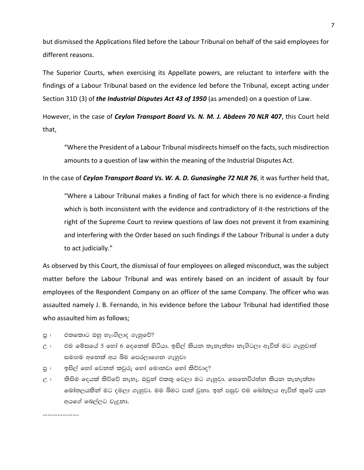but dismissed the Applications filed before the Labour Tribunal on behalf of the said employees for different reasons.

The Superior Courts, when exercising its Appellate powers, are reluctant to interfere with the findings of a Labour Tribunal based on the evidence led before the Tribunal, except acting under Section 31D (3) of *the Industrial Disputes Act 43 of 1950* (as amended) on a question of Law.

However, in the case of *Ceylon Transport Board Vs. N. M. J. Abdeen 70 NLR 407*, this Court held that,

"Where the President of a Labour Tribunal misdirects himself on the facts, such misdirection amounts to a question of law within the meaning of the Industrial Disputes Act.

In the case of Ceylon Transport Board Vs. W. A. D. Gunasinghe 72 NLR 76, it was further held that,

"Where a Labour Tribunal makes a finding of fact for which there is no evidence-a finding which is both inconsistent with the evidence and contradictory of it-the restrictions of the right of the Supreme Court to review questions of law does not prevent it from examining and interfering with the Order based on such findings if the Labour Tribunal is under a duty to act judicially."

As observed by this Court, the dismissal of four employees on alleged misconduct, was the subject matter before the Labour Tribunal and was entirely based on an incident of assault by four employees of the Respondent Company on an officer of the same Company. The officer who was assaulted namely J. B. Fernando, in his evidence before the Labour Tribunal had identified those who assaulted him as follows;

- එතකොට ඔහු හැංගිලාද ගැහුවේ? පු :
- එම මේසයේ 5 හෝ 6 දෙනෙක් හිටියා. ඉසිල් කියන තැනැත්තා නැගිටලා ඇවිත් මට ගැහුවාත්  $\mathcal{C}$ : සමඟම අනෙක් අය බිම පෙරලාගෙන ගැහුවා
- ඉසිල් හෝ වෙනත් කවුරු හෝ මොනවා හෝ කිව්වාද? පු :
- කිසිම දෙයක් කිව්වේ නැහැ. ඔවුන් එකතු වෙලා මට ගැහුවා. සෙනෙවිරත්න කියන තැනැත්තා  $\hat{C}$ : බෝතලයකින් මට දමලා ගැහුවා. මම බිමට පාත් වුනා. ඉන් පසුව එම බෝතලය ඇවිත් කුරේ යන අයගේ බෙල්ලට වැදුනා.

......................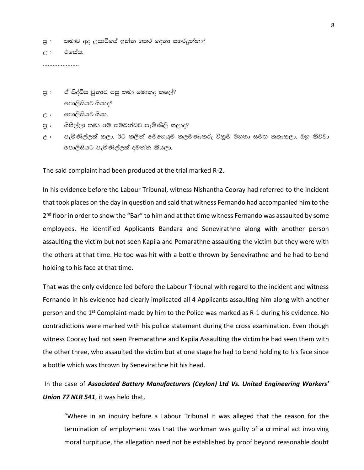පු : තමාට අද උසාවියේ ඉන්න හතර දෙනා පහරදුන්නා?

උ <del>: එසේ</del>ය.

………………….

පු : ඒ සිද්ධිය වුනාට පසු තමා මොකද කලේ? පොලීසියට ගියාද?

උ : ලොලීසියට ගියා.

- පු : ගිහිල්ලා තමා මේ සම්බන්ධව පැමිණිලි කලාද?
- උ : පැමිණිිල්ලක් කලා. ඊට කලින් මෙහෙයුම් කලමණාකරු විකුම මහතා සමඟ කතාකලා. ඔහු කිව්වා පොලීසියට පැමිණිල්ලක් දමන්න කියලා.

The said complaint had been produced at the trial marked R-2.

In his evidence before the Labour Tribunal, witness Nishantha Cooray had referred to the incident that took places on the day in question and said that witness Fernando had accompanied him to the 2<sup>nd</sup> floor in order to show the "Bar" to him and at that time witness Fernando was assaulted by some employees. He identified Applicants Bandara and Senevirathne along with another person assaulting the victim but not seen Kapila and Pemarathne assaulting the victim but they were with the others at that time. He too was hit with a bottle thrown by Senevirathne and he had to bend holding to his face at that time.

That was the only evidence led before the Labour Tribunal with regard to the incident and witness Fernando in his evidence had clearly implicated all 4 Applicants assaulting him along with another person and the 1<sup>st</sup> Complaint made by him to the Police was marked as R-1 during his evidence. No contradictions were marked with his police statement during the cross examination. Even though witness Cooray had not seen Premarathne and Kapila Assaulting the victim he had seen them with the other three, who assaulted the victim but at one stage he had to bend holding to his face since a bottle which was thrown by Senevirathne hit his head.

In the case of *Associated Battery Manufacturers (Ceylon) Ltd Vs. United Engineering Workers' Union 77 NLR 541*, it was held that,

"Where in an inquiry before a Labour Tribunal it was alleged that the reason for the termination of employment was that the workman was guilty of a criminal act involving moral turpitude, the allegation need not be established by proof beyond reasonable doubt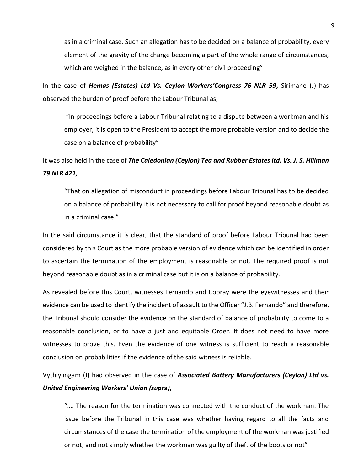as in a criminal case. Such an allegation has to be decided on a balance of probability, every element of the gravity of the charge becoming a part of the whole range of circumstances, which are weighed in the balance, as in every other civil proceeding"

In the case of *Hemas (Estates) Ltd Vs. Ceylon Workers'Congress 76 NLR 59***,** Sirimane (J) has observed the burden of proof before the Labour Tribunal as,

"In proceedings before a Labour Tribunal relating to a dispute between a workman and his employer, it is open to the President to accept the more probable version and to decide the case on a balance of probability"

It was also held in the case of *The Caledonian (Ceylon) Tea and Rubber Estates ltd. Vs. J. S. Hillman 79 NLR 421,*

"That on allegation of misconduct in proceedings before Labour Tribunal has to be decided on a balance of probability it is not necessary to call for proof beyond reasonable doubt as in a criminal case."

In the said circumstance it is clear, that the standard of proof before Labour Tribunal had been considered by this Court as the more probable version of evidence which can be identified in order to ascertain the termination of the employment is reasonable or not. The required proof is not beyond reasonable doubt as in a criminal case but it is on a balance of probability.

As revealed before this Court, witnesses Fernando and Cooray were the eyewitnesses and their evidence can be used to identify the incident of assault to the Officer "J.B. Fernando" and therefore, the Tribunal should consider the evidence on the standard of balance of probability to come to a reasonable conclusion, or to have a just and equitable Order. It does not need to have more witnesses to prove this. Even the evidence of one witness is sufficient to reach a reasonable conclusion on probabilities if the evidence of the said witness is reliable.

Vythiylingam (J) had observed in the case of *Associated Battery Manufacturers (Ceylon) Ltd vs. United Engineering Workers' Union (supr***a***)***,** 

"…. The reason for the termination was connected with the conduct of the workman. The issue before the Tribunal in this case was whether having regard to all the facts and circumstances of the case the termination of the employment of the workman was justified or not, and not simply whether the workman was guilty of theft of the boots or not"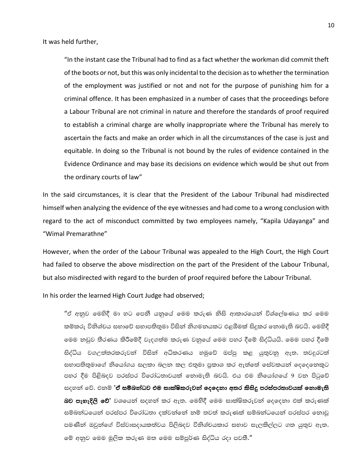It was held further,

"In the instant case the Tribunal had to find as a fact whether the workman did commit theft of the boots or not, but this was only incidental to the decision as to whether the termination of the employment was justified or not and not for the purpose of punishing him for a criminal offence. It has been emphasized in a number of cases that the proceedings before a Labour Tribunal are not criminal in nature and therefore the standards of proof required to establish a criminal charge are wholly inappropriate where the Tribunal has merely to ascertain the facts and make an order which in all the circumstances of the case is just and equitable. In doing so the Tribunal is not bound by the rules of evidence contained in the Evidence Ordinance and may base its decisions on evidence which would be shut out from the ordinary courts of law"

In the said circumstances, it is clear that the President of the Labour Tribunal had misdirected himself when analyzing the evidence of the eye witnesses and had come to a wrong conclusion with regard to the act of misconduct committed by two employees namely, "Kapila Udayanga" and "Wimal Premarathne"

However, when the order of the Labour Tribunal was appealed to the High Court, the High Court had failed to observe the above misdirection on the part of the President of the Labour Tribunal, but also misdirected with regard to the burden of proof required before the Labour Tribunal.

In his order the learned High Court Judge had observed;

"ඒ අනුව මෙහිදී මා හට පෙනී යනුයේ මෙම කරුණ නිසි ආකාරයෙන් විශ්ලේෂණය කර මෙම කම්කරු විනිශ්චය සභාවේ සභාපතිතුමා විසින් නිගමනයකට එළඹීමක් සිදුකර නොමැති බවයි. මෙහිදී මෙම තඩුව තීරණය කිරීමේදී වැදගත්ම කරුණ වනුයේ මෙම පහර දීමේ සිද්ධියයි. මෙම පහර දීමේ සිද්ධිය වගඋත්තරකරුවන් විසින් අධිකරණය හමුවේ ඔප්පූ කළ යුතුවනු ඇත. තවදුරටත් සභාපතිතුමාගේ නියෝගය සලකා බලන කල එතුමා පුකාශ කර ඇත්තේ සේවකයන් දෙදෙනෙකුට පහර දීම පිළිබදව පරස්පර විරෝධතාවයක් නොමැති බවයි. එය එම නියෝගයේ 9 වන පිටුවේ සදහන් වේ. එනම් **'ඒ සම්බන්ධව එම සාක්ෂිකරුවන් දෙදෙනා අතර කිසිදු පරස්පරතාවයක් නොමැති** බව පැහැදිලි වේ' වශයෙන් සදහන් කර ඇත. මෙහිදී මෙම සාක්ෂිකරුවන් දෙදෙනා එක් කරුණක් සම්බන්ධයෙන් පරස්පර විරෝධතා දක්වන්නේ නම් තවත් කරුණක් සම්බන්ධයෙන් පරස්පර නොවූ පමණින් ඔවුන්ගේ විස්වාසදායකත්වය පිලිබදව විනිශ්චයකාර සභාව සැලකිල්ලට ගත යුතුව ඇත. මේ අනුව මෙම මූලික කරුණ මත මෙම සම්පූර්ණ සිද්ධිය රදා පවතී."